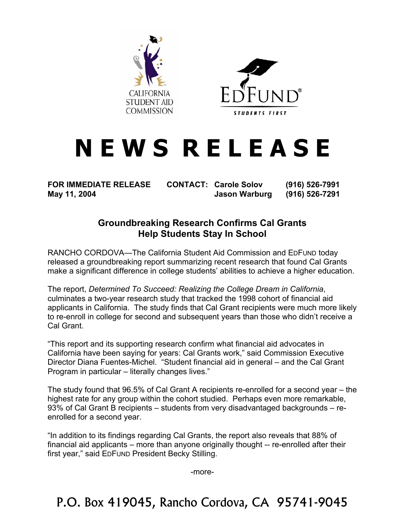



## **N E W S R E L E A S E**

**FOR IMMEDIATE RELEASE CONTACT: Carole Solov (916) 526-7991 May 11, 2004 Jason Warburg (916) 526-7291** 

## **Groundbreaking Research Confirms Cal Grants Help Students Stay In School**

RANCHO CORDOVA—The California Student Aid Commission and EDFUND today released a groundbreaking report summarizing recent research that found Cal Grants make a significant difference in college students' abilities to achieve a higher education.

The report, *Determined To Succeed: Realizing the College Dream in California*, culminates a two-year research study that tracked the 1998 cohort of financial aid applicants in California. The study finds that Cal Grant recipients were much more likely to re-enroll in college for second and subsequent years than those who didn't receive a Cal Grant.

"This report and its supporting research confirm what financial aid advocates in California have been saying for years: Cal Grants work," said Commission Executive Director Diana Fuentes-Michel. "Student financial aid in general – and the Cal Grant Program in particular – literally changes lives."

The study found that 96.5% of Cal Grant A recipients re-enrolled for a second year – the highest rate for any group within the cohort studied. Perhaps even more remarkable, 93% of Cal Grant B recipients – students from very disadvantaged backgrounds – reenrolled for a second year.

"In addition to its findings regarding Cal Grants, the report also reveals that 88% of financial aid applicants – more than anyone originally thought -- re-enrolled after their first year," said EDFUND President Becky Stilling.

-more-

P.O. Box 419045, Rancho Cordova, CA 95741-9045